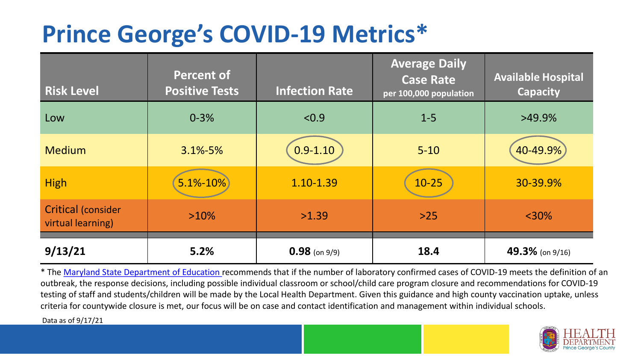## **Prince George's COVID-19 Metrics\***

| <b>Risk Level</b>                              | <b>Percent of</b><br><b>Positive Tests</b> | <b>Infection Rate</b> | <b>Average Daily</b><br><b>Case Rate</b><br>per 100,000 population | <b>Available Hospital</b><br><b>Capacity</b> |
|------------------------------------------------|--------------------------------------------|-----------------------|--------------------------------------------------------------------|----------------------------------------------|
| Low                                            | $0 - 3%$                                   | < 0.9                 | $1 - 5$                                                            | $>49.9\%$                                    |
| <b>Medium</b>                                  | $3.1\% - 5\%$                              | $0.9 - 1.10$          | $5 - 10$                                                           | 40-49.9%                                     |
| <b>High</b>                                    | $5.1% - 10%$                               | 1.10-1.39             | $10 - 25$                                                          | 30-39.9%                                     |
| <b>Critical (consider</b><br>virtual learning) | $>10\%$                                    | >1.39                 | $>25$                                                              | $<$ 30%                                      |
| 9/13/21                                        | 5.2%                                       | $0.98$ (on 9/9)       | 18.4                                                               | 49.3% (on $9/16$ )                           |

\* The [Maryland State Department of Education r](https://earlychildhood.marylandpublicschools.org/system/files/filedepot/3/covid_guidance_full_080420.pdf)ecommends that if the number of laboratory confirmed cases of COVID-19 meets the definition of an outbreak, the response decisions, including possible individual classroom or school/child care program closure and recommendations for COVID-19 testing of staff and students/children will be made by the Local Health Department. Given this guidance and high county vaccination uptake, unless criteria for countywide closure is met, our focus will be on case and contact identification and management within individual schools.

Data as of 9/17/21

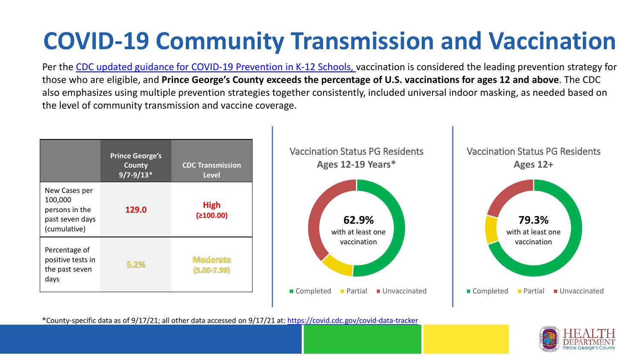# **COVID-19 Community Transmission and Vaccination**

Per the [CDC updated guidance for COVID-19 Prevention in K-12 Schools,](https://www.cdc.gov/coronavirus/2019-ncov/community/schools-childcare/k-12-guidance.html) vaccination is considered the leading prevention strategy for those who are eligible, and **Prince George's County exceeds the percentage of U.S. vaccinations for ages 12 and above**. The CDC also emphasizes using multiple prevention strategies together consistently, included universal indoor masking, as needed based on the level of community transmission and vaccine coverage.



\*County-specific data as of 9/17/21; all other data accessed on 9/17/21 at:<https://covid.cdc.gov/covid-data-tracker>

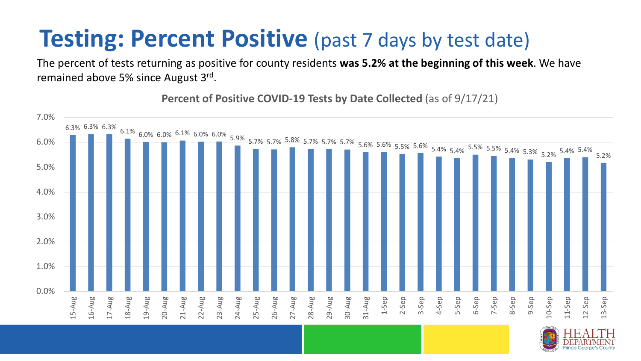#### **Testing: Percent Positive** (past 7 days by test date)

The percent of tests returning as positive for county residents **was 5.2% at the beginning of this week**. We have remained above 5% since August 3rd.

**Percent of Positive COVID-19 Tests by Date Collected** (as of 9/17/21)

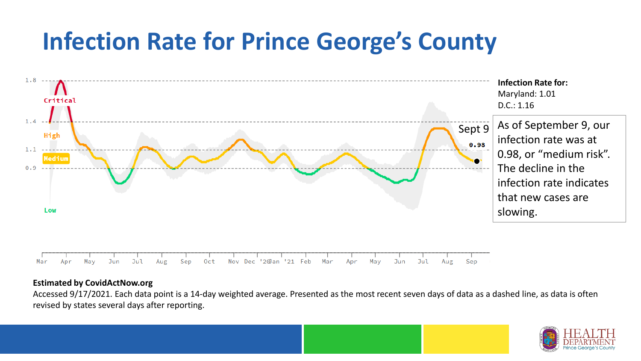### **Infection Rate for Prince George's County**



#### **Estimated by CovidActNow.org**

Accessed 9/17/2021. Each data point is a 14-day weighted average. Presented as the most recent seven days of data as a dashed line, as data is often revised by states several days after reporting.

![](_page_3_Picture_4.jpeg)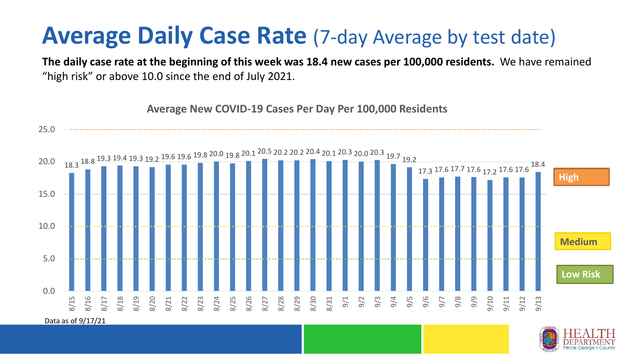#### **Average Daily Case Rate** (7-day Average by test date)

**The daily case rate at the beginning of this week was 18.4 new cases per 100,000 residents.** We have remained "high risk" or above 10.0 since the end of July 2021.

![](_page_4_Figure_2.jpeg)

![](_page_4_Picture_3.jpeg)